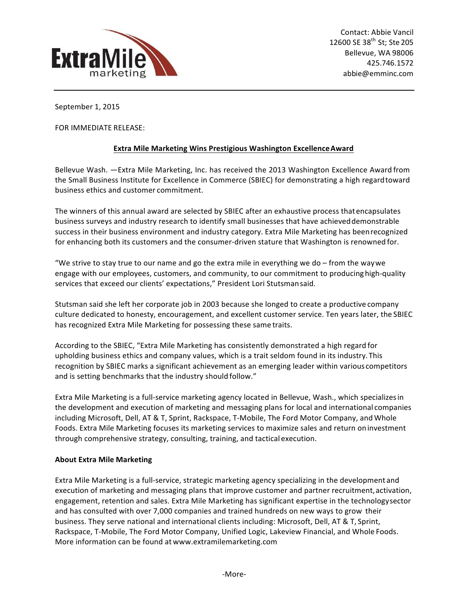

September 1, 2015

FOR IMMEDIATE RELEASE:

## **Extra Mile Marketing Wins Prestigious Washington Excellence Award**

Bellevue Wash. -Extra Mile Marketing, Inc. has received the 2013 Washington Excellence Award from the Small Business Institute for Excellence in Commerce (SBIEC) for demonstrating a high regardtoward business ethics and customer commitment.

The winners of this annual award are selected by SBIEC after an exhaustive process that encapsulates business surveys and industry research to identify small businesses that have achieved demonstrable success in their business environment and industry category. Extra Mile Marketing has been recognized for enhancing both its customers and the consumer-driven stature that Washington is renowned for.

"We strive to stay true to our name and go the extra mile in everything we do – from the waywe engage with our employees, customers, and community, to our commitment to producing high-quality services that exceed our clients' expectations," President Lori Stutsmansaid.

Stutsman said she left her corporate job in 2003 because she longed to create a productive company culture dedicated to honesty, encouragement, and excellent customer service. Ten years later, the SBIEC has recognized Extra Mile Marketing for possessing these same traits.

According to the SBIEC, "Extra Mile Marketing has consistently demonstrated a high regard for upholding business ethics and company values, which is a trait seldom found in its industry. This recognition by SBIEC marks a significant achievement as an emerging leader within various competitors and is setting benchmarks that the industry should follow."

Extra Mile Marketing is a full-service marketing agency located in Bellevue, Wash., which specializes in the development and execution of marketing and messaging plans for local and international companies including Microsoft, Dell, AT & T, Sprint, Rackspace, T-Mobile, The Ford Motor Company, and Whole Foods. Extra Mile Marketing focuses its marketing services to maximize sales and return on investment through comprehensive strategy, consulting, training, and tactical execution.

## **About Extra Mile Marketing**

Extra Mile Marketing is a full-service, strategic marketing agency specializing in the development and execution of marketing and messaging plans that improve customer and partner recruitment, activation, engagement, retention and sales. Extra Mile Marketing has significant expertise in the technologysector and has consulted with over 7,000 companies and trained hundreds on new ways to grow their business. They serve national and international clients including: Microsoft, Dell, AT & T, Sprint, Rackspace, T-Mobile, The Ford Motor Company, Unified Logic, Lakeview Financial, and Whole Foods. More information can be found at www.extramilemarketing.com